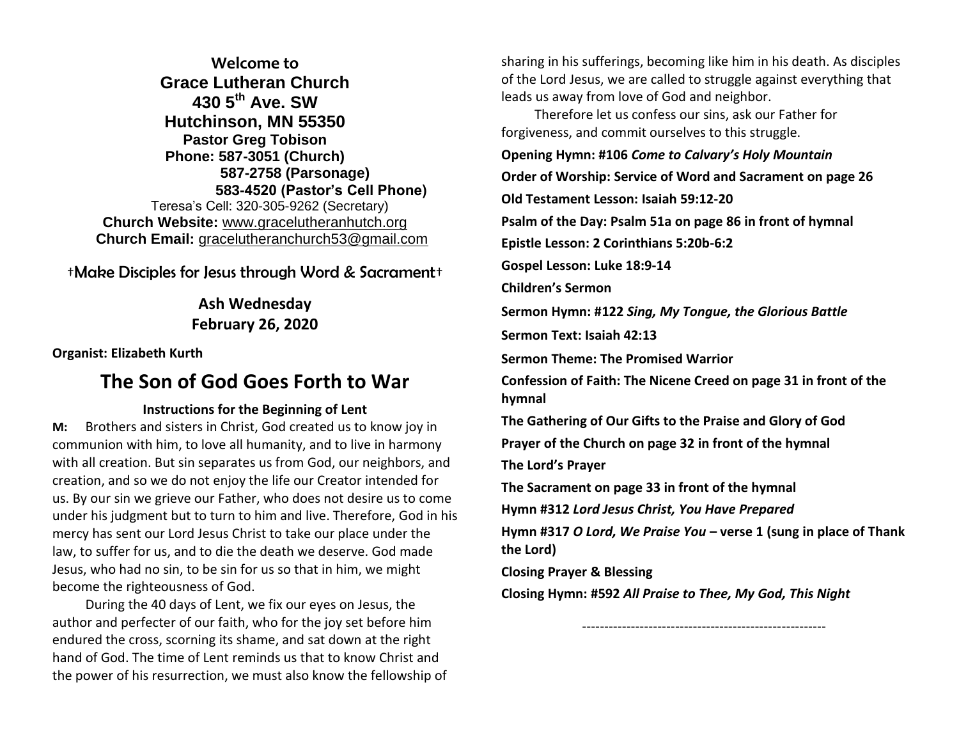**Welcome to Grace Lutheran Church 430 5th Ave. SW Hutchinson, MN 55350 Pastor Greg Tobison Phone: 587-3051 (Church) 587-2758 (Parsonage) 583-4520 (Pastor's Cell Phone)** Teresa's Cell: 320-305-9262 (Secretary) **Church Website:** [www.gracelutheranhutch.org](http://www.gracelutheranhutch.org/) **Church Email:** [gracelutheranchurch53@gmail.com](mailto:gracelutheranchurch53@gmail.com)

†Make Disciples for Jesus through Word & Sacrament†

## **Ash Wednesday February 26, 2020**

**Organist: Elizabeth Kurth**

# **The Son of God Goes Forth to War**

### **Instructions for the Beginning of Lent**

**M:** Brothers and sisters in Christ, God created us to know joy in communion with him, to love all humanity, and to live in harmony with all creation. But sin separates us from God, our neighbors, and creation, and so we do not enjoy the life our Creator intended for us. By our sin we grieve our Father, who does not desire us to come under his judgment but to turn to him and live. Therefore, God in his mercy has sent our Lord Jesus Christ to take our place under the law, to suffer for us, and to die the death we deserve. God made Jesus, who had no sin, to be sin for us so that in him, we might become the righteousness of God.

During the 40 days of Lent, we fix our eyes on Jesus, the author and perfecter of our faith, who for the joy set before him endured the cross, scorning its shame, and sat down at the right hand of God. The time of Lent reminds us that to know Christ and the power of his resurrection, we must also know the fellowship of sharing in his sufferings, becoming like him in his death. As disciples of the Lord Jesus, we are called to struggle against everything that leads us away from love of God and neighbor.

Therefore let us confess our sins, ask our Father for forgiveness, and commit ourselves to this struggle.

**Opening Hymn: #106** *Come to Calvary's Holy Mountain*

**Order of Worship: Service of Word and Sacrament on page 26** 

**Old Testament Lesson: Isaiah 59:12-20**

**Psalm of the Day: Psalm 51a on page 86 in front of hymnal** 

**Epistle Lesson: 2 Corinthians 5:20b-6:2**

**Gospel Lesson: Luke 18:9-14**

**Children's Sermon**

**Sermon Hymn: #122** *Sing, My Tongue, the Glorious Battle*

**Sermon Text: Isaiah 42:13**

**Sermon Theme: The Promised Warrior**

**Confession of Faith: The Nicene Creed on page 31 in front of the hymnal**

**The Gathering of Our Gifts to the Praise and Glory of God**

**Prayer of the Church on page 32 in front of the hymnal**

**The Lord's Prayer**

**The Sacrament on page 33 in front of the hymnal** 

**Hymn #312** *Lord Jesus Christ, You Have Prepared*

**Hymn #317** *O Lord, We Praise You* **– verse 1 (sung in place of Thank the Lord)**

**Closing Prayer & Blessing**

**Closing Hymn: #592** *All Praise to Thee, My God, This Night*

-------------------------------------------------------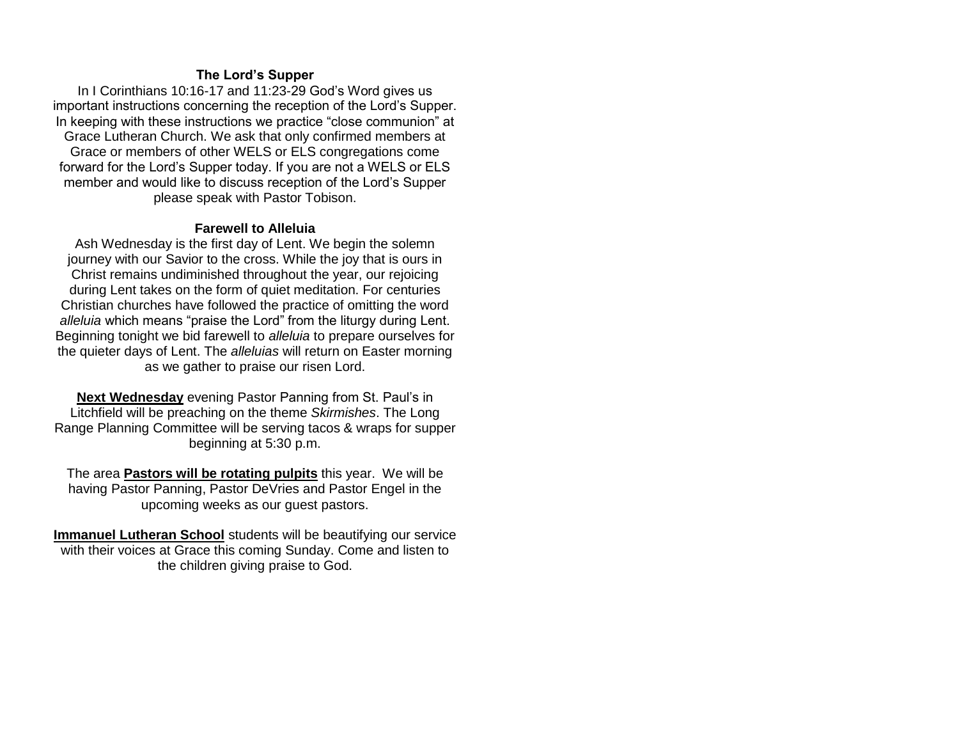### **The Lord's Supper**

In I Corinthians 10:16-17 and 11:23-29 God's Word gives us important instructions concerning the reception of the Lord's Supper. In keeping with these instructions we practice "close communion" at Grace Lutheran Church. We ask that only confirmed members at Grace or members of other WELS or ELS congregations come forward for the Lord's Supper today. If you are not a WELS or ELS member and would like to discuss reception of the Lord's Supper please speak with Pastor Tobison.

#### **Farewell to Alleluia**

Ash Wednesday is the first day of Lent. We begin the solemn journey with our Savior to the cross. While the joy that is ours in Christ remains undiminished throughout the year, our rejoicing during Lent takes on the form of quiet meditation. For centuries Christian churches have followed the practice of omitting the word *alleluia* which means "praise the Lord" from the liturgy during Lent. Beginning tonight we bid farewell to *alleluia* to prepare ourselves for the quieter days of Lent. The *alleluias* will return on Easter morning as we gather to praise our risen Lord.

**Next Wednesday** evening Pastor Panning from St. Paul's in Litchfield will be preaching on the theme *Skirmishes*. The Long Range Planning Committee will be serving tacos & wraps for supper beginning at 5:30 p.m.

The area **Pastors will be rotating pulpits** this year. We will be having Pastor Panning, Pastor DeVries and Pastor Engel in the upcoming weeks as our guest pastors.

**Immanuel Lutheran School** students will be beautifying our service with their voices at Grace this coming Sunday. Come and listen to the children giving praise to God.